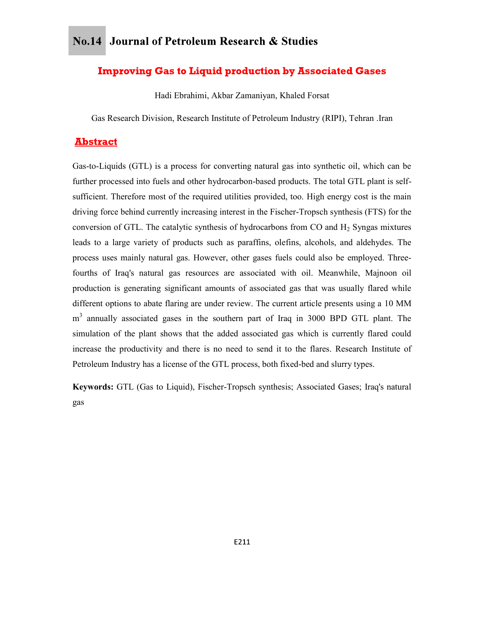## **Improving Gas to Liquid production by Associated Gases**

Hadi Ebrahimi, Akbar Zamaniyan, Khaled Forsat

Gas Research Division, Research Institute of Petroleum Industry (RIPI), Tehran .Iran

## **Abstract**

Gas-to-Liquids (GTL) is a process for converting natural gas into synthetic oil, which can be further processed into fuels and other hydrocarbon-based products. The total GTL plant is selfsufficient. Therefore most of the required utilities provided, too. High energy cost is the main driving force behind currently increasing interest in the Fischer-Tropsch synthesis (FTS) for the conversion of GTL. The catalytic synthesis of hydrocarbons from CO and  $H_2$  Syngas mixtures leads to a large variety of products such as paraffins, olefins, alcohols, and aldehydes. The process uses mainly natural gas. However, other gases fuels could also be employed. Threefourths of Iraq's natural gas resources are associated with oil. Meanwhile, Majnoon oil production is generating significant amounts of associated gas that was usually flared while different options to abate flaring are under review. The current article presents using a 10 MM m<sup>3</sup> annually associated gases in the southern part of Iraq in 3000 BPD GTL plant. The simulation of the plant shows that the added associated gas which is currently flared could increase the productivity and there is no need to send it to the flares. Research Institute of Petroleum Industry has a license of the GTL process, both fixed-bed and slurry types.

Keywords: GTL (Gas to Liquid), Fischer-Tropsch synthesis; Associated Gases; Iraq's natural gas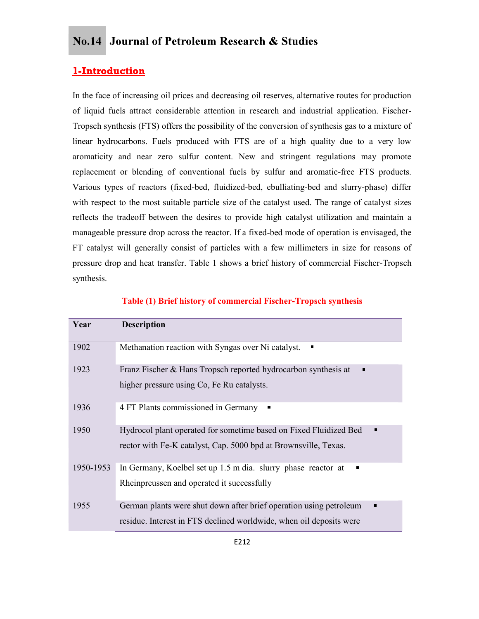## 1-Introduction

In the face of increasing oil prices and decreasing oil reserves, alternative routes for production of liquid fuels attract considerable attention in research and industrial application. Fischer-Tropsch synthesis (FTS) offers the possibility of the conversion of synthesis gas to a mixture of linear hydrocarbons. Fuels produced with FTS are of a high quality due to a very low aromaticity and near zero sulfur content. New and stringent regulations may promote replacement or blending of conventional fuels by sulfur and aromatic-free FTS products. Various types of reactors (fixed-bed, fluidized-bed, ebulliating-bed and slurry-phase) differ with respect to the most suitable particle size of the catalyst used. The range of catalyst sizes reflects the tradeoff between the desires to provide high catalyst utilization and maintain a manageable pressure drop across the reactor. If a fixed-bed mode of operation is envisaged, the FT catalyst will generally consist of particles with a few millimeters in size for reasons of pressure drop and heat transfer. Table 1 shows a brief history of commercial Fischer-Tropsch synthesis.

| Year      | <b>Description</b>                                                                                                                        |
|-----------|-------------------------------------------------------------------------------------------------------------------------------------------|
| 1902      | Methanation reaction with Syngas over Ni catalyst.<br>$\blacksquare$                                                                      |
| 1923      | Franz Fischer & Hans Tropsch reported hydrocarbon synthesis at<br>п<br>higher pressure using Co, Fe Ru catalysts.                         |
| 1936      | 4 FT Plants commissioned in Germany<br>$\blacksquare$                                                                                     |
| 1950      | Hydrocol plant operated for sometime based on Fixed Fluidized Bed<br>п<br>rector with Fe-K catalyst, Cap. 5000 bpd at Brownsville, Texas. |
| 1950-1953 | In Germany, Koelbel set up 1.5 m dia. slurry phase reactor at<br>п<br>Rheinpreussen and operated it successfully                          |
| 1955      | German plants were shut down after brief operation using petroleum<br>residue. Interest in FTS declined worldwide, when oil deposits were |

### Table (1) Brief history of commercial Fischer-Tropsch synthesis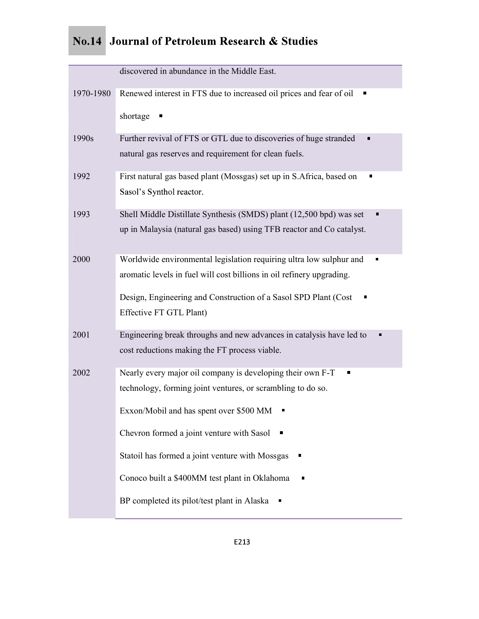| discovered in abundance in the Middle East.<br>Renewed interest in FTS due to increased oil prices and fear of oil<br>1970-1980<br>$\blacksquare$<br>shortage<br>1990s<br>Further revival of FTS or GTL due to discoveries of huge stranded<br>natural gas reserves and requirement for clean fuels.<br>First natural gas based plant (Mossgas) set up in S.Africa, based on<br>1992<br>ш<br>Sasol's Synthol reactor.<br>Shell Middle Distillate Synthesis (SMDS) plant (12,500 bpd) was set<br>1993<br>up in Malaysia (natural gas based) using TFB reactor and Co catalyst.<br>Worldwide environmental legislation requiring ultra low sulphur and<br>2000 |
|--------------------------------------------------------------------------------------------------------------------------------------------------------------------------------------------------------------------------------------------------------------------------------------------------------------------------------------------------------------------------------------------------------------------------------------------------------------------------------------------------------------------------------------------------------------------------------------------------------------------------------------------------------------|
|                                                                                                                                                                                                                                                                                                                                                                                                                                                                                                                                                                                                                                                              |
|                                                                                                                                                                                                                                                                                                                                                                                                                                                                                                                                                                                                                                                              |
|                                                                                                                                                                                                                                                                                                                                                                                                                                                                                                                                                                                                                                                              |
|                                                                                                                                                                                                                                                                                                                                                                                                                                                                                                                                                                                                                                                              |
|                                                                                                                                                                                                                                                                                                                                                                                                                                                                                                                                                                                                                                                              |
|                                                                                                                                                                                                                                                                                                                                                                                                                                                                                                                                                                                                                                                              |
|                                                                                                                                                                                                                                                                                                                                                                                                                                                                                                                                                                                                                                                              |
|                                                                                                                                                                                                                                                                                                                                                                                                                                                                                                                                                                                                                                                              |
|                                                                                                                                                                                                                                                                                                                                                                                                                                                                                                                                                                                                                                                              |
|                                                                                                                                                                                                                                                                                                                                                                                                                                                                                                                                                                                                                                                              |
| aromatic levels in fuel will cost billions in oil refinery upgrading.                                                                                                                                                                                                                                                                                                                                                                                                                                                                                                                                                                                        |
| Design, Engineering and Construction of a Sasol SPD Plant (Cost                                                                                                                                                                                                                                                                                                                                                                                                                                                                                                                                                                                              |
| Effective FT GTL Plant)                                                                                                                                                                                                                                                                                                                                                                                                                                                                                                                                                                                                                                      |
| Engineering break throughs and new advances in catalysis have led to<br>2001<br>cost reductions making the FT process viable.                                                                                                                                                                                                                                                                                                                                                                                                                                                                                                                                |
|                                                                                                                                                                                                                                                                                                                                                                                                                                                                                                                                                                                                                                                              |
| Nearly every major oil company is developing their own F-T<br>2002<br>technology, forming joint ventures, or scrambling to do so.                                                                                                                                                                                                                                                                                                                                                                                                                                                                                                                            |
| Exxon/Mobil and has spent over \$500 MM                                                                                                                                                                                                                                                                                                                                                                                                                                                                                                                                                                                                                      |
|                                                                                                                                                                                                                                                                                                                                                                                                                                                                                                                                                                                                                                                              |
| Chevron formed a joint venture with Sasol ■                                                                                                                                                                                                                                                                                                                                                                                                                                                                                                                                                                                                                  |
| Statoil has formed a joint venture with Mossgas                                                                                                                                                                                                                                                                                                                                                                                                                                                                                                                                                                                                              |
| Conoco built a \$400MM test plant in Oklahoma<br>π                                                                                                                                                                                                                                                                                                                                                                                                                                                                                                                                                                                                           |
| BP completed its pilot/test plant in Alaska                                                                                                                                                                                                                                                                                                                                                                                                                                                                                                                                                                                                                  |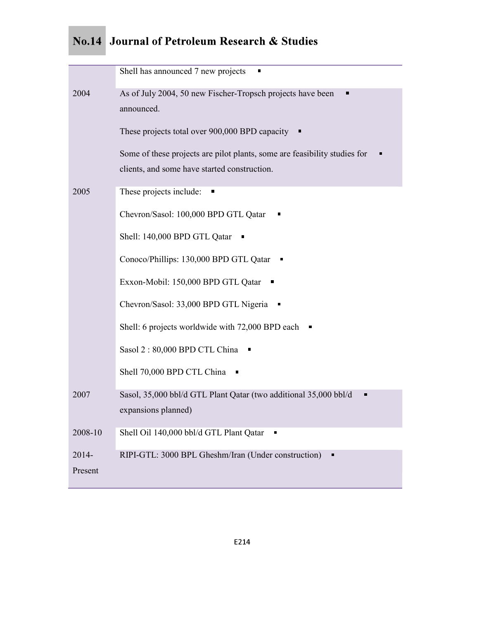|         | Shell has announced 7 new projects<br>п                                   |
|---------|---------------------------------------------------------------------------|
| 2004    | As of July 2004, 50 new Fischer-Tropsch projects have been                |
|         | announced.                                                                |
|         | These projects total over 900,000 BPD capacity                            |
|         | Some of these projects are pilot plants, some are feasibility studies for |
|         | clients, and some have started construction.                              |
| 2005    | These projects include:                                                   |
|         | Chevron/Sasol: 100,000 BPD GTL Qatar                                      |
|         | Shell: 140,000 BPD GTL Qatar                                              |
|         | Conoco/Phillips: 130,000 BPD GTL Qatar                                    |
|         | Exxon-Mobil: 150,000 BPD GTL Qatar                                        |
|         | Chevron/Sasol: 33,000 BPD GTL Nigeria                                     |
|         | Shell: 6 projects worldwide with 72,000 BPD each<br>П                     |
|         | Sasol 2:80,000 BPD CTL China                                              |
|         | Shell 70,000 BPD CTL China                                                |
| 2007    | Sasol, 35,000 bbl/d GTL Plant Qatar (two additional 35,000 bbl/d<br>Ξ     |
|         | expansions planned)                                                       |
| 2008-10 | Shell Oil 140,000 bbl/d GTL Plant Qatar                                   |
| 2014-   | RIPI-GTL: 3000 BPL Gheshm/Iran (Under construction)<br>П                  |
| Present |                                                                           |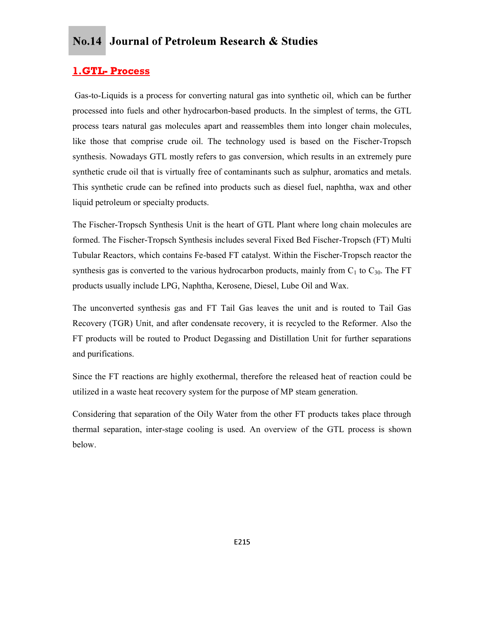Gas-to-Liquids is a process for converting natural gas into synthetic oil, which can be further processed into fuels and other hydrocarbon-based products. In the simplest of terms, the GTL process tears natural gas molecules apart and reassembles them into longer chain molecules, like those that comprise crude oil. The technology used is based on the Fischer-Tropsch synthesis. Nowadays GTL mostly refers to gas conversion, which results in an extremely pure synthetic crude oil that is virtually free of contaminants such as sulphur, aromatics and metals. This synthetic crude can be refined into products such as diesel fuel, naphtha, wax and other liquid petroleum or specialty products. **1. GTL- Process**<br>
Gas-to-Liquids is a process for converting natural gas into synthetic oil, which can be further<br>
processed into fuels and other hydrocarbon-based products. In the simplest of terms, the GTL<br>
process tear

The Fischer-Tropsch Synthesis Unit is the heart of GTL Plant where long chain molecules are formed. The Fischer-Tropsch Synthesis includes several Fixed Bed Fischer-Tropsch (FT) Multi synthesis gas is converted to the various hydrocarbon products, mainly from  $C_1$  to  $C_{30}$ . The FT products usually include LPG, Naphtha, Kerosene, Diesel, Lube Oil and Wax.

The unconverted synthesis gas and FT Tail Gas leaves the unit and is routed to Tail Gas Recovery (TGR) Unit, and after condensate recovery, it is recycled to the Reformer. Also the FT products will be routed to Product Degassing and Distillation Unit for further separations and purifications.

Since the FT reactions are highly exothermal, therefore the released heat of reaction could be utilized in a waste heat recovery system for the purpose of MP steam generation.

Considering that separation of the Oily Water from the other FT products takes place through thermal separation, inter-stage cooling is used. An overview of the GTL process is shown below.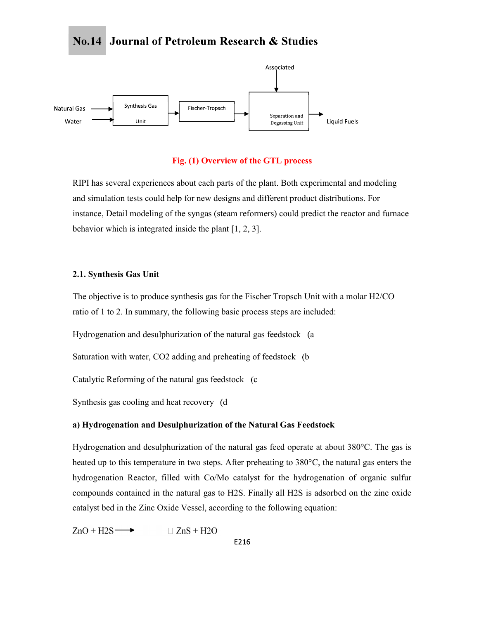

#### Fig. (1) Overview of the GTL process

RIPI has several experiences about each parts of the plant. Both experimental and modeling and simulation tests could help for new designs and different product distributions. For instance, Detail modeling of the syngas (steam reformers) could predict the reactor and furnace behavior which is integrated inside the plant [1, 2, 3].

#### 2.1. Synthesis Gas Unit

The objective is to produce synthesis gas for the Fischer Tropsch Unit with a molar H2/CO ratio of 1 to 2. In summary, the following basic process steps are included:

Hydrogenation and desulphurization of the natural gas feedstock (a

Saturation with water, CO2 adding and preheating of feedstock (b

Catalytic Reforming of the natural gas feedstock (c)

Synthesis gas cooling and heat recovery (d)

### a) Hydrogenation and Desulphurization of the Natural Gas Feedstock

Hydrogenation and desulphurization of the natural gas feed operate at about 380°C. The gas is heated up to this temperature in two steps. After preheating to 380°C, the natural gas enters the hydrogenation Reactor, filled with Co/Mo catalyst for the hydrogenation of organic sulfur compounds contained in the natural gas to H2S. Finally all H2S is adsorbed on the zinc oxide catalyst bed in the Zinc Oxide Vessel, according to the following equation:

 $ZnO + H2S$  $\Box$  ZnS + H2O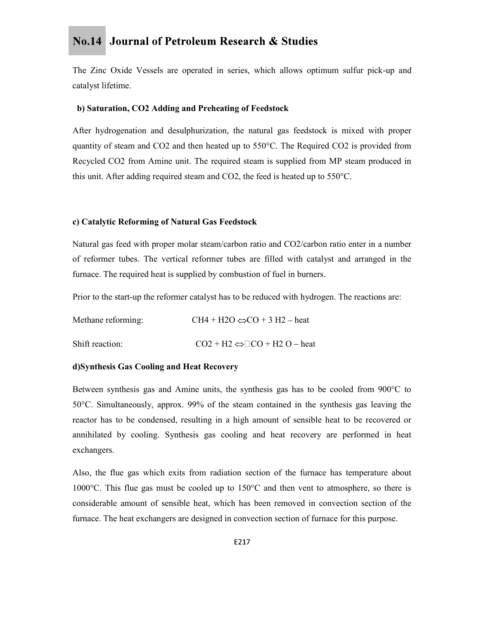The Zinc Oxide Vessels are operated in series, which allows optimum sulfur pick-up and catalyst lifetime.

### b) Saturation, CO2 Adding and Preheating of Feedstock

After hydrogenation and desulphurization, the natural gas feedstock is mixed with proper quantity of steam and CO2 and then heated up to 550°C. The Required CO2 is provided from Recycled CO2 from Amine unit. The required steam is supplied from MP steam produced in this unit. After adding required steam and CO2, the feed is heated up to 550°C.

#### c) Catalytic Reforming of Natural Gas Feedstock

Natural gas feed with proper molar steam/carbon ratio and CO2/carbon ratio enter in a number of reformer tubes. The vertical reformer tubes are filled with catalyst and arranged in the furnace. The required heat is supplied by combustion of fuel in burners.

Prior to the start-up the reformer catalyst has to be reduced with hydrogen. The reactions are:

| Methane reforming: | CH4 + H2O $\Leftrightarrow$ CO + 3 H2 – heat       |
|--------------------|----------------------------------------------------|
| Shift reaction:    | $CO2 + H2 \Leftrightarrow$ $\Box CO + H2 O$ – heat |

### d)Synthesis Gas Cooling and Heat Recovery

Between synthesis gas and Amine units, the synthesis gas has to be cooled from 900°C to 50°C. Simultaneously, approx. 99% of the steam contained in the synthesis gas leaving the reactor has to be condensed, resulting in a high amount of sensible heat to be recovered or annihilated by cooling. Synthesis gas cooling and heat recovery are performed in heat exchangers.

Also, the flue gas which exits from radiation section of the furnace has temperature about 1000°C. This flue gas must be cooled up to 150°C and then vent to atmosphere, so there is considerable amount of sensible heat, which has been removed in convection section of the furnace. The heat exchangers are designed in convection section of furnace for this purpose.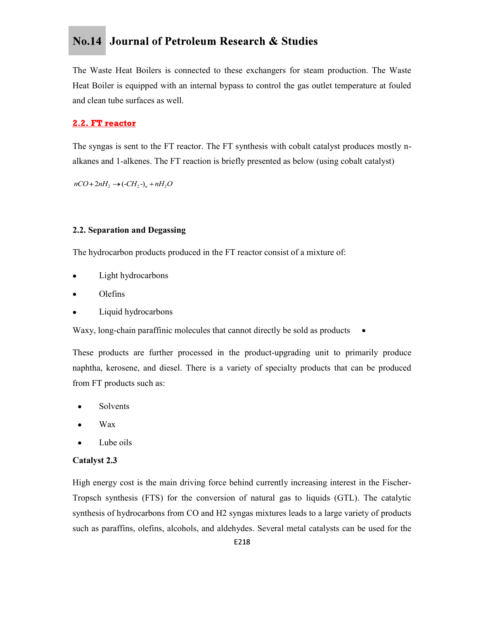The Waste Heat Boilers is connected to these exchangers for steam production. The Waste Heat Boiler is equipped with an internal bypass to control the gas outlet temperature at fouled and clean tube surfaces as well. **No.14** Journal of Petroleum Research & Studies<br>The Waste Heat Boilers is connected to these exchangers for steam production. The Waste<br>Heat Boiler is equipped with an internal bypass to control the gas outlet temperature

The syngas is sent to the FT reactor. The FT synthesis with cobalt catalyst produces mostly nalkanes and 1-alkenes. The FT reaction is briefly presented as below (using cobalt catalyst)

### 2.2. Separation and Degassing

The hydrocarbon products produced in the FT reactor consist of a mixture of:

- Light hydrocarbons
- Olefins
- Liquid hydrocarbons

Waxy, long-chain paraffinic molecules that cannot directly be sold as products  $\bullet$ 

These products are further processed in the product-upgrading unit to primarily produce naphtha, kerosene, and diesel. There is a variety of specialty products that can be produced from FT products such as:

- Solvents
- Wax
- Lube oils

### Catalyst

High energy cost is the main driving force behind currently increasing interest in the Fischer-Tropsch synthesis (FTS) for the conversion of natural gas to liquids (GTL). The catalytic synthesis of hydrocarbons from CO and H2 syngas mixtures leads to a large variety of products such as paraffins, olefins, alcohols, and aldehydes. Several metal catalysts can be used for the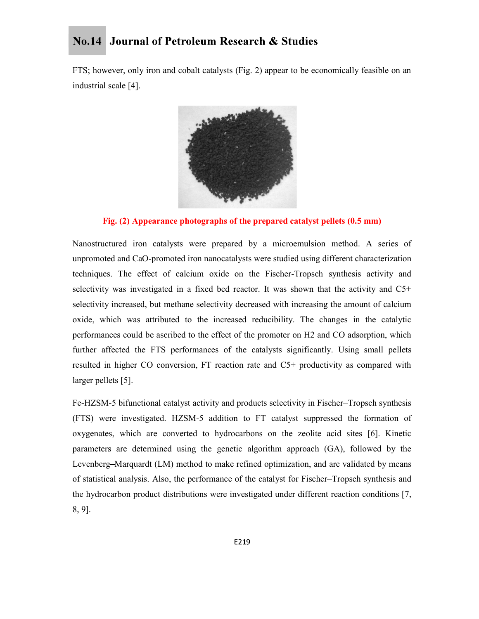FTS; however, only iron and cobalt catalysts (Fig. 2) appear to be economically feasible on an industrial scale [4].



Fig. (2) Appearance photographs of the prepared catalyst pellets (0.5 mm)

Nanostructured iron catalysts were prepared by a microemulsion method. A series of unpromoted and CaO-promoted iron nanocatalysts were studied using different characterization techniques. The effect of calcium oxide on the Fischer-Tropsch synthesis activity and selectivity was investigated in a fixed bed reactor. It was shown that the activity and C5+ selectivity increased, but methane selectivity decreased with increasing the amount of calcium oxide, which was attributed to the increased reducibility. The changes in the catalytic performances could be ascribed to the effect of the promoter on H2 and CO adsorption, which further affected the FTS performances of the catalysts significantly. Using small pellets resulted in higher CO conversion, FT reaction rate and C5+ productivity as compared with larger pellets [5].

Fe-HZSM-5 bifunctional catalyst activity and products selectivity in Fischer–Tropsch synthesis (FTS) were investigated. HZSM-5 addition to FT catalyst suppressed the formation of oxygenates, which are converted to hydrocarbons on the zeolite acid sites [6]. Kinetic parameters are determined using the genetic algorithm approach (GA), followed by the Levenberg–Marquardt (LM) method to make refined optimization, and are validated by means of statistical analysis. Also, the performance of the catalyst for Fischer Tropsch synthesis and the hydrocarbon product distributions were investigated under different reaction conditions [7, 8, 9].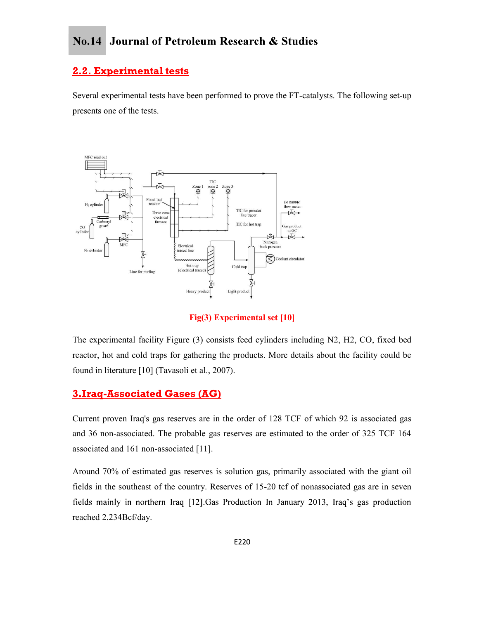## **2.2. Experimental tests**

Several experimental tests have been performed to prove the FT-catalysts. The following set-up presents one of the tests.



Fig(3) Experimental set [10]

The experimental facility Figure (3) consists feed cylinders including N2, H2, CO, fixed bed reactor, hot and cold traps for gathering the products. More details about the facility could be found in literature [10] (Tavasoli et al., 2007).

## **3.Iraq-Associated Gases (AG)**

Current proven Iraq's gas reserves are in the order of 128 TCF of which 92 is associated gas and 36 non-associated. The probable gas reserves are estimated to the order of 325 TCF 164 associated and 161 non-associated [11].

Around 70% of estimated gas reserves is solution gas, primarily associated with the giant oil fields in the southeast of the country. Reserves of 15-20 tcf of nonassociated gas are in seven fields mainly in northern Iraq [12]. Gas Production In January 2013, Iraq's gas production reached 2.234Bcf/day.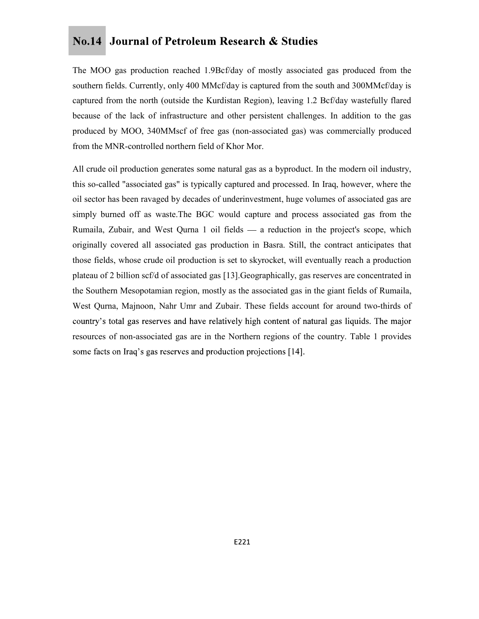The MOO gas production reached 1.9Bcf/day of mostly associated gas produced from the southern fields. Currently, only 400 MMcf/day is captured from the south and 300MMcf/day is captured from the north (outside the Kurdistan Region), leaving 1.2 Bcf/day wastefully flared because of the lack of infrastructure and other persistent challenges. In addition to the gas produced by MOO, 340MMscf of free gas (non-associated gas) was commercially produced from the MNR-controlled northern field of Khor Mor.

All crude oil production generates some natural gas as a byproduct. In the modern oil industry, this so-called "associated gas" is typically captured and processed. In Iraq, however, where the oil sector has been ravaged by decades of underinvestment, huge volumes of associated gas are simply burned off as waste.The BGC would capture and process associated gas from the Rumaila, Zubair, and West Qurna 1 oil fields — a reduction in the project's scope, which originally covered all associated gas production in Basra. Still, the contract anticipates that those fields, whose crude oil production is set to skyrocket, will eventually reach a production plateau of 2 billion scf/d of associated gas [13].Geographically, gas reserves are concentrated in the Southern Mesopotamian region, mostly as the associated gas in the giant fields of Rumaila, West Qurna, Majnoon, Nahr Umr and Zubair. These fields account for around two-thirds of country's total gas reserves and have relatively high content of natural gas liquids. The major resources of non-associated gas are in the Northern regions of the country. Table 1 provides some facts on Iraq's gas reserves and production projections [14].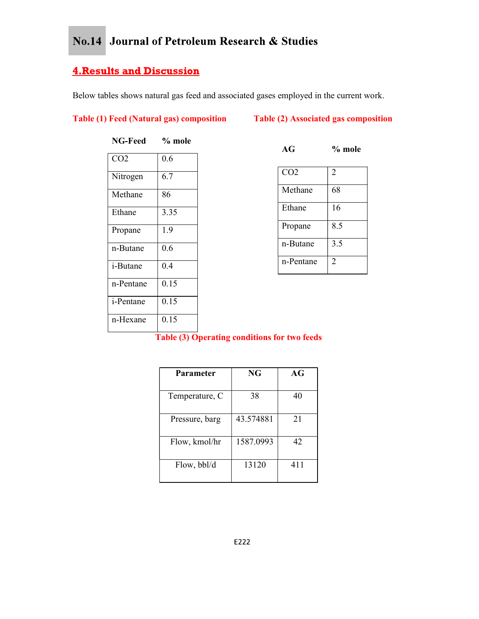Below tables shows natural gas feed and associated gases employed in the current work.

## Table (1) Feed (Natural gas) composition Table (2) Associated gas composition

| <b>Journal of Petroleum Research &amp; Studies</b> |                                       |  |              |                                                                                |                |  |  |
|----------------------------------------------------|---------------------------------------|--|--------------|--------------------------------------------------------------------------------|----------------|--|--|
|                                                    | <u><b>Its and Discussion</b></u>      |  |              |                                                                                |                |  |  |
|                                                    |                                       |  |              | bles shows natural gas feed and associated gases employed in the current work. |                |  |  |
|                                                    | <b>Feed (Natural gas) composition</b> |  |              | Table (2) Associated gas composition                                           |                |  |  |
| NG-Feed                                            | $%$ mole                              |  |              | AG                                                                             | $%$ mole       |  |  |
| CO <sub>2</sub>                                    | 0.6                                   |  |              |                                                                                |                |  |  |
| Nitrogen                                           | 6.7                                   |  |              | CO <sub>2</sub>                                                                | $\overline{2}$ |  |  |
| Methane                                            | 86                                    |  |              | Methane                                                                        | 68             |  |  |
| Ethane                                             | 3.35                                  |  |              | Ethane                                                                         | 16             |  |  |
| Propane                                            | 1.9                                   |  |              | Propane                                                                        | 8.5            |  |  |
| n-Butane                                           | 0.6                                   |  |              | n-Butane                                                                       | 3.5            |  |  |
| i-Butane                                           | 0.4                                   |  |              | n-Pentane                                                                      | $\overline{2}$ |  |  |
| n-Pentane                                          | 0.15                                  |  |              |                                                                                |                |  |  |
| i-Pentane                                          | 0.15                                  |  |              |                                                                                |                |  |  |
| n-Hexane                                           | 0.15                                  |  |              |                                                                                |                |  |  |
|                                                    |                                       |  |              | Table (3) Operating conditions for two feeds                                   |                |  |  |
|                                                    |                                       |  |              |                                                                                |                |  |  |
|                                                    | D.                                    |  | $\mathbf{M}$ | $\sqrt{ }$                                                                     |                |  |  |

|                  |                                       | Journal of Petroleum Research & Studies                                      |                |
|------------------|---------------------------------------|------------------------------------------------------------------------------|----------------|
|                  | <u>ts and Discussion</u>              |                                                                              |                |
|                  |                                       |                                                                              |                |
|                  |                                       | es shows natural gas feed and associated gases employed in the current work. |                |
|                  | <b>Feed (Natural gas) composition</b> | Table (2) Associated gas composition                                         |                |
| NG-Feed          | $%$ mole                              | AG                                                                           | $%$ mole       |
| $\overline{CO2}$ | 0.6                                   |                                                                              |                |
| Nitrogen         | 6.7                                   | $\overline{CO2}$                                                             | $\overline{2}$ |
| Methane          | 86                                    | Methane                                                                      | 68             |
| Ethane           | 3.35                                  | Ethane                                                                       | 16             |
| Propane          | 1.9                                   | Propane                                                                      | 8.5            |
| n-Butane         | 0.6                                   | n-Butane                                                                     | 3.5            |
|                  |                                       | n-Pentane                                                                    | $\overline{2}$ |
| <i>i</i> -Butane | $0.4\,$                               |                                                                              |                |
| n-Pentane        | 0.15                                  |                                                                              |                |

## Table (3) Operating conditions for two feeds

|           | Propane   |                                                                       |
|-----------|-----------|-----------------------------------------------------------------------|
|           |           |                                                                       |
|           | n-Butane  |                                                                       |
|           | n-Pentane |                                                                       |
|           |           |                                                                       |
|           |           |                                                                       |
|           |           |                                                                       |
|           |           |                                                                       |
|           |           |                                                                       |
| 38        | 40        |                                                                       |
| 43.574881 | 21        |                                                                       |
| 1587.0993 | 42        |                                                                       |
|           |           |                                                                       |
|           | NG        | able (3) Operating conditions for two feeds<br>$\mathbf{A}\mathbf{G}$ |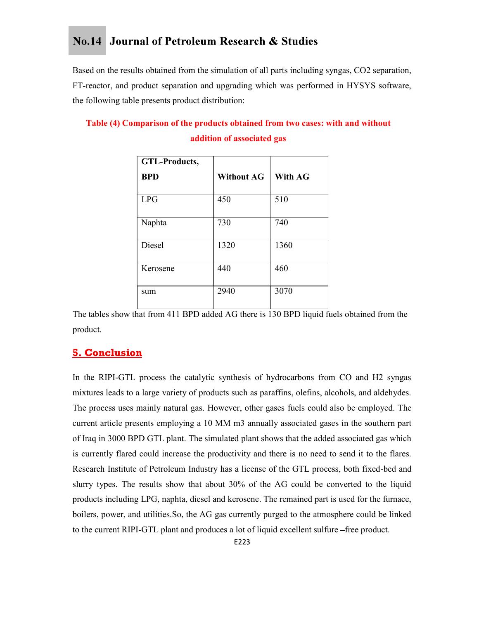Based on the results obtained from the simulation of all parts including syngas, CO2 separation, FT-reactor, and product separation and upgrading which was performed in HYSYS software, the following table presents product distribution:

## Table (4) Comparison of the products obtained from two cases: with and without addition of associated gas

|                                                                                 |                            | nal of Petroleum Research & Studies |
|---------------------------------------------------------------------------------|----------------------------|-------------------------------------|
| Its obtained from the simulation of all parts including syngas, CO2 separation, |                            |                                     |
| product separation and upgrading which was performed in HYSYS software,         |                            |                                     |
| le presents product distribution:                                               |                            |                                     |
| mparison of the products obtained from two cases: with and without              |                            |                                     |
|                                                                                 | addition of associated gas |                                     |
| <b>GTL-Products,</b>                                                            |                            |                                     |
| <b>BPD</b>                                                                      | <b>Without AG</b>          | With AG                             |
| LPG                                                                             | 450                        | 510                                 |
| Naphta                                                                          | 730                        | 740                                 |
| Diesel                                                                          | 1320                       | 1360                                |
| Kerosene                                                                        | 440                        | 460                                 |
|                                                                                 | 2940                       | 3070                                |

The tables show that from 411 BPD added AG there is 130 BPD liquid fuels obtained from the product.

## **5. Conclusion**

In the RIPI-GTL process the catalytic synthesis of hydrocarbons from CO and H2 syngas mixtures leads to a large variety of products such as paraffins, olefins, alcohols, and aldehydes. The process uses mainly natural gas. However, other gases fuels could also be employed. The current article presents employing a 10 MM m3 annually associated gases in the southern part of Iraq in 3000 BPD GTL plant. The simulated plant shows that the added associated gas which is currently flared could increase the productivity and there is no need to send it to the flares. Research Institute of Petroleum Industry has a license of the GTL process, both fixed-bed and slurry types. The results show that about 30% of the AG could be converted to the liquid products including LPG, naphta, diesel and kerosene. The remained part is used for the furnace, boilers, power, and utilities.So, the AG gas currently purged to the atmosphere could be linked to the current RIPI-GTL plant and produces a lot of liquid excellent sulfure -free product.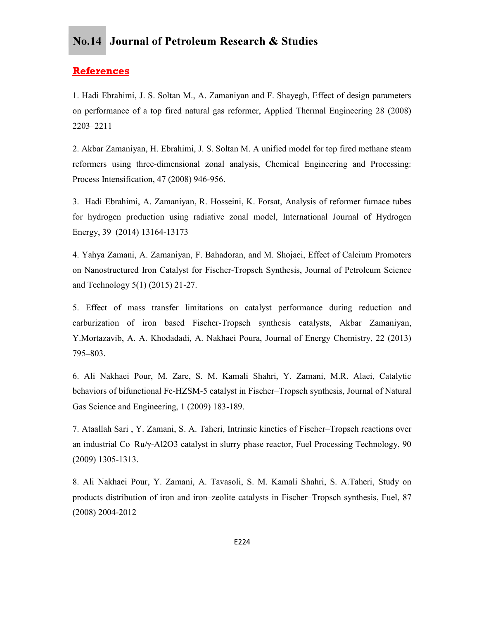### **References**

1. Hadi Ebrahimi, J. S. Soltan M., A. Zamaniyan and F. Shayegh, Effect of design parameters on performance of a top fired natural gas reformer, Applied Thermal Engineering 28 (2008) 2203 2211

2. Akbar Zamaniyan, H. Ebrahimi, J. S. Soltan M. A unified model for top fired methane steam reformers using three-dimensional zonal analysis, Chemical Engineering and Processing: Process Intensification, 47 (2008) 946-956.

3. Hadi Ebrahimi, A. Zamaniyan, R. Hosseini, K. Forsat, Analysis of reformer furnace tubes for hydrogen production using radiative zonal model, International Journal of Hydrogen Energy, 39 (2014) 13164-13173

4. Yahya Zamani, A. Zamaniyan, F. Bahadoran, and M. Shojaei, Effect of Calcium Promoters on Nanostructured Iron Catalyst for Fischer-Tropsch Synthesis, Journal of Petroleum Science and Technology 5(1) (2015) 21-27.

5. Effect of mass transfer limitations on catalyst performance during reduction and carburization of iron based Fischer-Tropsch synthesis catalysts, Akbar Zamaniyan, Y.Mortazavib, A. A. Khodadadi, A. Nakhaei Poura, Journal of Energy Chemistry, 22 (2013)  $795 - 803$ .

6. Ali Nakhaei Pour, M. Zare, S. M. Kamali Shahri, Y. Zamani, M.R. Alaei, Catalytic behaviors of bifunctional Fe-HZSM-5 catalyst in Fischer-Tropsch synthesis, Journal of Natural Gas Science and Engineering, 1 (2009) 183-189.

7. Ataallah Sari , Y. Zamani, S. A. Taheri, Intrinsic kinetics of Fischer Tropsch reactions over an industrial Co-Ru/ $\gamma$ -Al2O3 catalyst in slurry phase reactor, Fuel Processing Technology, 90 (2009) 1305-1313.

8. Ali Nakhaei Pour, Y. Zamani, A. Tavasoli, S. M. Kamali Shahri, S. A.Taheri, Study on products distribution of iron and iron zeolite catalysts in Fischer Tropsch synthesis, Fuel, 87 (2008) 2004-2012